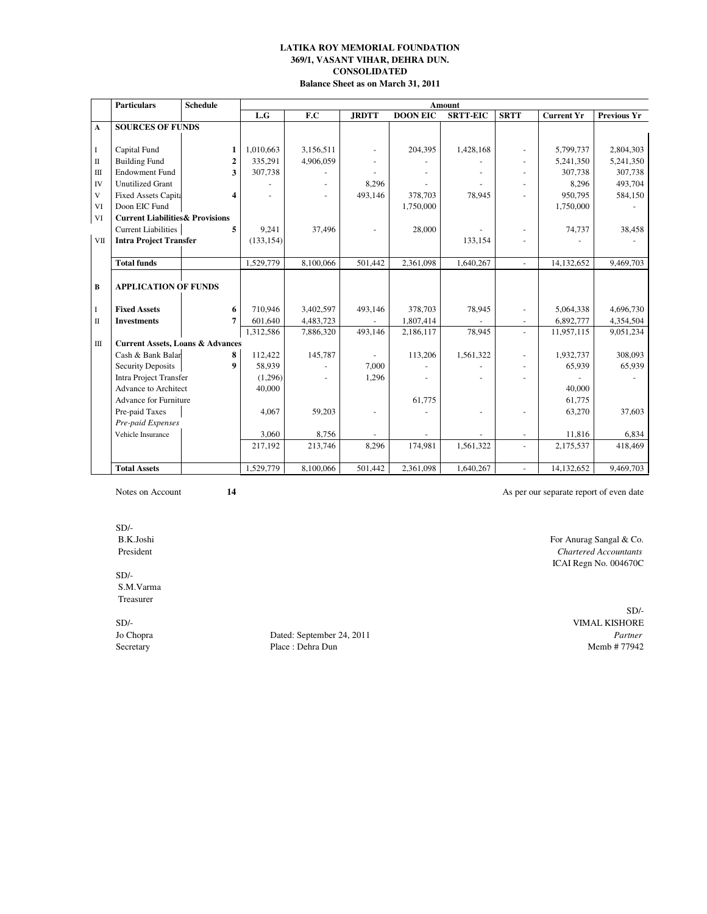# **369/1, VASANT VIHAR, DEHRA DUN. CONSOLIDATED Balance Sheet as on March 31, 2011 LATIKA ROY MEMORIAL FOUNDATION**

|                         | <b>Particulars</b>                          | <b>Schedule</b> |            | Amount    |                |                 |                 |                          |                   |             |  |
|-------------------------|---------------------------------------------|-----------------|------------|-----------|----------------|-----------------|-----------------|--------------------------|-------------------|-------------|--|
|                         |                                             |                 | L.G        | F.C       | <b>JRDTT</b>   | <b>DOON EIC</b> | <b>SRTT-EIC</b> | <b>SRTT</b>              | <b>Current Yr</b> | Previous Yr |  |
| A                       | <b>SOURCES OF FUNDS</b>                     |                 |            |           |                |                 |                 |                          |                   |             |  |
|                         |                                             |                 |            |           |                |                 |                 |                          |                   |             |  |
| $\mathbf I$             | Capital Fund                                | 1               | 1,010,663  | 3,156,511 | $\blacksquare$ | 204,395         | 1,428,168       | $\blacksquare$           | 5,799,737         | 2,804,303   |  |
| $\mathbf{I}$            | <b>Building Fund</b>                        | $\mathbf{2}$    | 335,291    | 4,906,059 |                |                 |                 | $\overline{a}$           | 5,241,350         | 5,241,350   |  |
| Ш                       | <b>Endowment Fund</b>                       | 3               | 307,738    |           |                |                 |                 |                          | 307,738           | 307,738     |  |
| IV                      | <b>Unutilized Grant</b>                     |                 |            | $\sim$    | 8,296          |                 |                 | ٠                        | 8,296             | 493,704     |  |
| $\overline{\mathbf{V}}$ | <b>Fixed Assets Capita</b>                  | $\overline{4}$  |            |           | 493,146        | 378,703         | 78,945          |                          | 950.795           | 584,150     |  |
| VI                      | Doon EIC Fund                               |                 |            |           |                | 1,750,000       |                 |                          | 1,750,000         |             |  |
| VI                      | <b>Current Liabilities &amp; Provisions</b> |                 |            |           |                |                 |                 |                          |                   |             |  |
|                         | <b>Current Liabilities</b>                  | 5               | 9.241      | 37,496    | L,             | 28,000          |                 | $\overline{a}$           | 74.737            | 38,458      |  |
| VII                     | <b>Intra Project Transfer</b>               |                 | (133, 154) |           |                |                 | 133,154         |                          |                   |             |  |
|                         |                                             |                 |            |           |                |                 |                 |                          |                   |             |  |
|                         | <b>Total funds</b>                          |                 | 1,529,779  | 8,100,066 | 501,442        | 2,361,098       | 1,640,267       | $\equiv$                 | 14,132,652        | 9,469,703   |  |
|                         |                                             |                 |            |           |                |                 |                 |                          |                   |             |  |
| B                       | <b>APPLICATION OF FUNDS</b>                 |                 |            |           |                |                 |                 |                          |                   |             |  |
|                         |                                             |                 |            |           |                |                 |                 |                          |                   |             |  |
| $\bf{I}$                | <b>Fixed Assets</b>                         | 6               | 710,946    | 3,402,597 | 493,146        | 378,703         | 78,945          | L.                       | 5,064,338         | 4,696,730   |  |
| $\mathbf{I}$            | <b>Investments</b>                          | 7               | 601,640    | 4,483,723 |                | 1,807,414       |                 | $\equiv$                 | 6,892,777         | 4,354,504   |  |
|                         |                                             |                 | 1,312,586  | 7,886,320 | 493,146        | 2,186,117       | 78,945          | $\blacksquare$           | 11,957,115        | 9,051,234   |  |
| $\mathbf{I}$            | <b>Current Assets, Loans &amp; Advances</b> |                 |            |           |                |                 |                 |                          |                   |             |  |
|                         | Cash & Bank Balar                           | 8               | 112,422    | 145,787   | $\blacksquare$ | 113,206         | 1,561,322       | $\blacksquare$           | 1,932,737         | 308,093     |  |
|                         | <b>Security Deposits</b>                    | 9               | 58,939     |           | 7,000          |                 |                 |                          | 65,939            | 65,939      |  |
|                         | <b>Intra Project Transfer</b>               |                 | (1,296)    |           | 1,296          |                 |                 |                          |                   |             |  |
|                         | Advance to Architect                        |                 | 40,000     |           |                |                 |                 |                          | 40,000            |             |  |
|                         | <b>Advance for Furniture</b>                |                 |            |           |                | 61,775          |                 |                          | 61,775            |             |  |
|                         | Pre-paid Taxes                              |                 | 4,067      | 59,203    | ÷,             |                 |                 |                          | 63,270            | 37,603      |  |
|                         | Pre-paid Expenses                           |                 |            |           |                |                 |                 |                          |                   |             |  |
|                         | Vehicle Insurance                           |                 | 3,060      | 8,756     |                |                 |                 | $\overline{\phantom{a}}$ | 11,816            | 6,834       |  |
|                         |                                             |                 | 217,192    | 213,746   | 8,296          | 174,981         | 1,561,322       | $\overline{a}$           | 2,175,537         | 418,469     |  |
|                         |                                             |                 |            |           |                |                 |                 |                          |                   |             |  |
|                         | <b>Total Assets</b>                         |                 | 1,529,779  | 8,100,066 | 501,442        | 2,361,098       | 1,640,267       | $\overline{a}$           | 14,132,652        | 9,469,703   |  |

Notes on Account **14** As per our separate report of even date

SD/-

SD/- S.M.Varma Treasurer

Jo Chopra Dated: September 24, 2011 *Partner* Place : Dehra Dun

 B.K.Joshi For Anurag Sangal & Co. President *Chartered Accountants* ICAI Regn No. 004670C

SD/- SD/-<br>
Suman UMAL KISHORE<br>
September 24, 2011<br>
Partner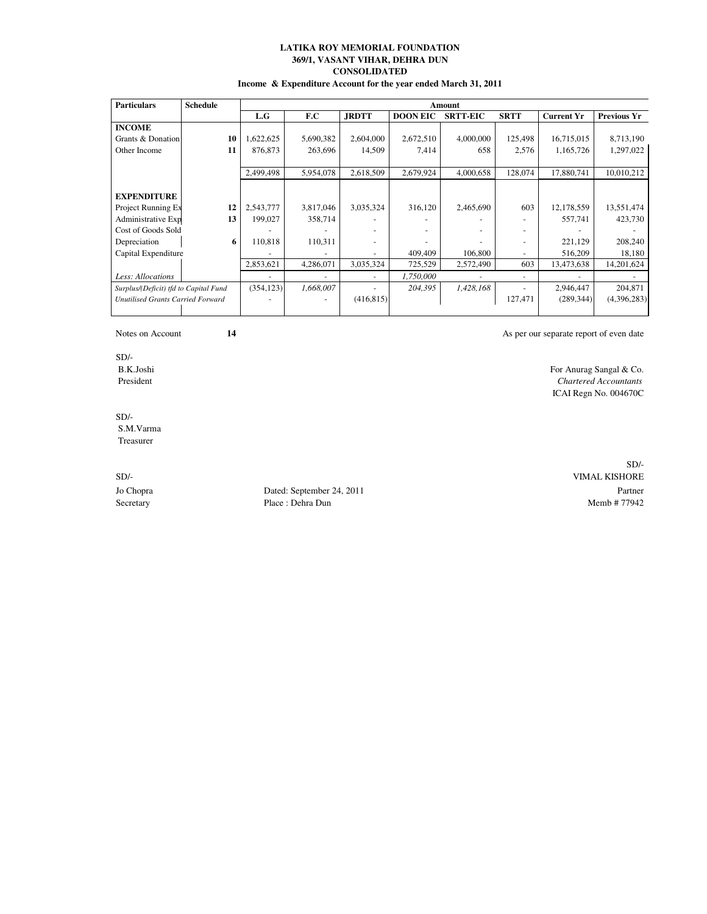# **LATIKA ROY MEMORIAL FOUNDATION 369/1, VASANT VIHAR, DEHRA DUN CONSOLIDATED Income & Expenditure Account for the year ended March 31, 2011**

| <b>Particulars</b>                    | <b>Schedule</b> |            | Amount    |              |                 |                 |                          |                   |                    |  |  |
|---------------------------------------|-----------------|------------|-----------|--------------|-----------------|-----------------|--------------------------|-------------------|--------------------|--|--|
|                                       |                 | L.G        | F.C       | <b>JRDTT</b> | <b>DOON EIC</b> | <b>SRTT-EIC</b> | <b>SRTT</b>              | <b>Current Yr</b> | <b>Previous Yr</b> |  |  |
| <b>INCOME</b>                         |                 |            |           |              |                 |                 |                          |                   |                    |  |  |
| Grants & Donation                     | 10              | 1,622,625  | 5,690,382 | 2,604,000    | 2,672,510       | 4,000,000       | 125,498                  | 16,715,015        | 8,713,190          |  |  |
| Other Income                          | 11              | 876,873    | 263,696   | 14,509       | 7,414           | 658             | 2,576                    | 1,165,726         | 1,297,022          |  |  |
|                                       |                 |            |           |              |                 |                 |                          |                   |                    |  |  |
|                                       |                 | 2,499,498  | 5,954,078 | 2,618,509    | 2,679,924       | 4,000,658       | 128,074                  | 17,880,741        | 10,010,212         |  |  |
|                                       |                 |            |           |              |                 |                 |                          |                   |                    |  |  |
| <b>EXPENDITURE</b>                    |                 |            |           |              |                 |                 |                          |                   |                    |  |  |
| Project Running Ex                    | 12              | 2,543,777  | 3,817,046 | 3,035,324    | 316,120         | 2,465,690       | 603                      | 12,178,559        | 13,551,474         |  |  |
| Administrative Exp                    | 13              | 199,027    | 358,714   |              |                 |                 |                          | 557,741           | 423,730            |  |  |
| Cost of Goods Sold                    |                 |            |           |              |                 |                 |                          |                   |                    |  |  |
| Depreciation                          | 6               | 110,818    | 110,311   |              |                 |                 |                          | 221,129           | 208,240            |  |  |
| Capital Expenditure                   |                 |            |           |              | 409,409         | 106,800         |                          | 516,209           | 18,180             |  |  |
|                                       |                 | 2,853,621  | 4,286,071 | 3,035,324    | 725,529         | 2,572,490       | 603                      | 13,473,638        | 14,201,624         |  |  |
| Less: Allocations                     |                 |            |           |              | 1,750,000       |                 | $\overline{\phantom{a}}$ |                   |                    |  |  |
| Surplus/(Deficit) tfd to Capital Fund |                 | (354, 123) | 1,668,007 |              | 204,395         | 1,428,168       |                          | 2,946,447         | 204,871            |  |  |
| Unutilised Grants Carried Forward     |                 |            |           | (416, 815)   |                 |                 | 127,471                  | (289, 344)        | (4,396,283)        |  |  |
|                                       |                 |            |           |              |                 |                 |                          |                   |                    |  |  |

Notes on Account **14** As per our separate report of even date

For Anurag Sangal & Co.

ICAI Regn No. 004670C

SD/-<br>B.K.Joshi President *Chartered Accountants*

SD/- S.M.Varma Treasurer

Jo Chopra Dated: September 24, 2011 Partner Secretary **Place : Dehra Dun** Memb # 77942

SD/- SD/- VIMAL KISHORE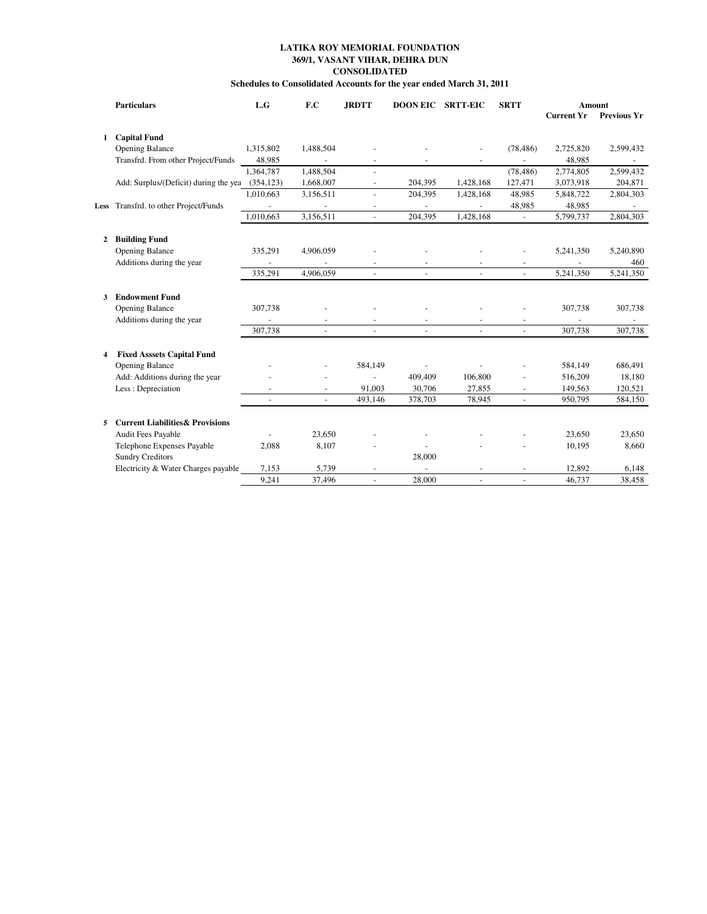# **LATIKA ROY MEMORIAL FOUNDATION 369/1, VASANT VIHAR, DEHRA DUN CONSOLIDATED**

| Schedules to Consolidated Accounts for the year ended March 31, 2011 |  |
|----------------------------------------------------------------------|--|
|----------------------------------------------------------------------|--|

|              | <b>Particulars</b>                          | L.G            | F.C                  | <b>JRDTT</b>             | <b>DOON EIC</b>          | <b>SRTT-EIC</b>          | <b>SRTT</b>    |                   | Amount             |
|--------------|---------------------------------------------|----------------|----------------------|--------------------------|--------------------------|--------------------------|----------------|-------------------|--------------------|
|              |                                             |                |                      |                          |                          |                          |                | <b>Current Yr</b> | <b>Previous Yr</b> |
| $\mathbf{1}$ | <b>Capital Fund</b>                         |                |                      |                          |                          |                          |                |                   |                    |
|              |                                             |                |                      |                          |                          |                          |                |                   |                    |
|              | <b>Opening Balance</b>                      | 1,315,802      | 1,488,504            |                          |                          | $\overline{a}$           | (78, 486)      | 2,725,820         | 2,599,432          |
|              | Transfrd. From other Project/Funds          | 48,985         | $\blacksquare$       |                          |                          |                          |                | 48,985            |                    |
|              |                                             | 1,364,787      | 1,488,504            |                          |                          |                          | (78, 486)      | 2,774,805         | 2,599,432          |
|              | Add: Surplus/(Deficit) during the yea       | (354, 123)     | 1,668,007            | $\overline{\phantom{a}}$ | 204,395                  | 1,428,168                | 127,471        | 3,073,918         | 204,871            |
|              |                                             | 1,010,663      | 3,156,511            | $\blacksquare$           | 204,395                  | 1,428,168                | 48,985         | 5,848,722         | 2,804,303          |
|              | Less Transfrd. to other Project/Funds       |                |                      |                          | $\overline{\phantom{a}}$ | $\overline{\phantom{a}}$ | 48,985         | 48,985            |                    |
|              |                                             | 1.010.663      | 3,156,511            |                          | 204.395                  | 1,428,168                | $\blacksquare$ | 5,799,737         | 2,804,303          |
|              | 2 Building Fund                             |                |                      |                          |                          |                          |                |                   |                    |
|              | <b>Opening Balance</b>                      | 335,291        | 4,906,059            |                          |                          |                          |                | 5,241,350         | 5,240,890          |
|              | Additions during the year                   |                |                      |                          |                          |                          |                |                   | 460                |
|              |                                             | 335,291        | 4,906,059            |                          |                          |                          |                | 5,241,350         | 5,241,350          |
|              |                                             |                |                      |                          |                          |                          |                |                   |                    |
| 3            | <b>Endowment Fund</b>                       |                |                      |                          |                          |                          |                |                   |                    |
|              | <b>Opening Balance</b>                      | 307,738        |                      |                          |                          |                          |                | 307,738           | 307,738            |
|              | Additions during the year                   |                |                      |                          |                          |                          |                |                   |                    |
|              |                                             | 307,738        |                      | $\blacksquare$           |                          | $\sim$                   |                | 307.738           | 307,738            |
|              |                                             |                |                      |                          |                          |                          |                |                   |                    |
| 4            | <b>Fixed Asssets Capital Fund</b>           |                |                      |                          |                          |                          |                |                   |                    |
|              | <b>Opening Balance</b>                      |                |                      | 584,149                  |                          |                          |                | 584,149           | 686,491            |
|              | Add: Additions during the year              |                | $\ddot{\phantom{1}}$ | $\blacksquare$           | 409,409                  | 106,800                  |                | 516,209           | 18,180             |
|              | Less: Depreciation                          |                |                      | 91,003                   | 30,706                   | 27,855                   | $\blacksquare$ | 149,563           | 120,521            |
|              |                                             | $\blacksquare$ | $\blacksquare$       | 493,146                  | 378,703                  | 78,945                   | $\blacksquare$ | 950,795           | 584,150            |
|              |                                             |                |                      |                          |                          |                          |                |                   |                    |
| 5.           | <b>Current Liabilities &amp; Provisions</b> |                |                      |                          |                          |                          |                |                   |                    |
|              | Audit Fees Payable                          |                | 23,650               |                          |                          |                          |                | 23,650            | 23,650             |
|              | Telephone Expenses Payable                  | 2,088          | 8,107                |                          |                          |                          |                | 10,195            | 8,660              |
|              | <b>Sundry Creditors</b>                     |                |                      |                          | 28,000                   |                          |                |                   |                    |
|              | Electricity & Water Charges payable         | 7,153          | 5,739                |                          |                          |                          |                | 12,892            | 6,148              |
|              |                                             | 9.241          | 37,496               |                          | 28,000                   | $\overline{a}$           | $\overline{a}$ | 46,737            | 38,458             |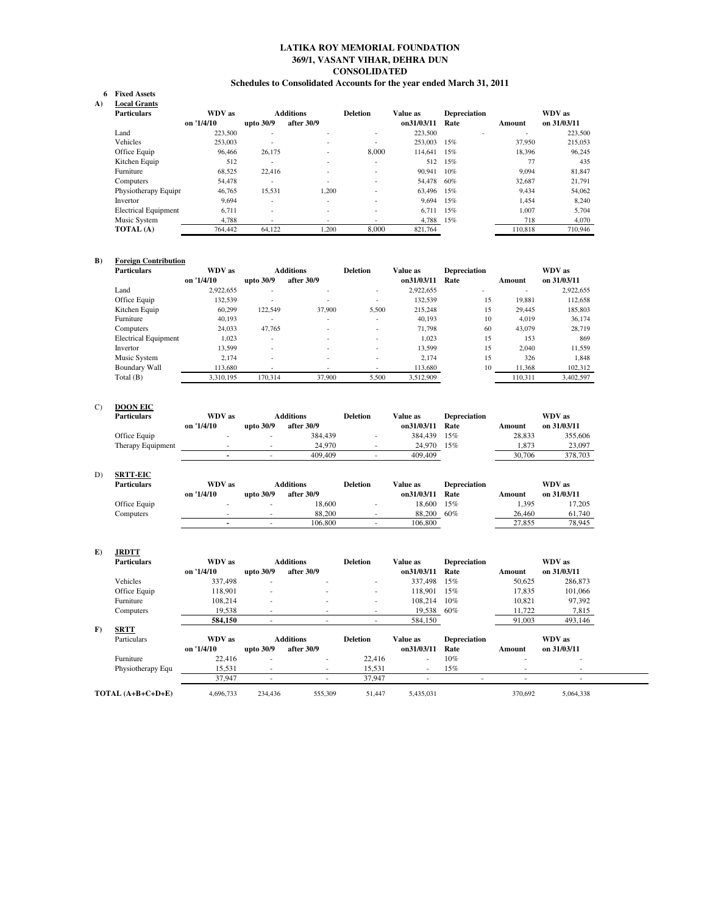# **LATIKA ROY MEMORIAL FOUNDATION 369/1, VASANT VIHAR, DEHRA DUN CONSOLIDATED Schedules to Consolidated Accounts for the year ended March 31, 2011**

#### **Fixed Assets 6 A**)

| <b>Local Grants</b>         |            |                          |                          |                          |            |                     |         |             |
|-----------------------------|------------|--------------------------|--------------------------|--------------------------|------------|---------------------|---------|-------------|
| <b>Particulars</b>          | WDV as     |                          | <b>Additions</b>         | <b>Deletion</b>          | Value as   | <b>Depreciation</b> |         | WDV as      |
|                             | on '1/4/10 | upto 30/9                | after 30/9               |                          | on31/03/11 | Rate                | Amount  | on 31/03/11 |
| Land                        | 223,500    |                          |                          | $\overline{\phantom{a}}$ | 223,500    |                     |         | 223,500     |
| Vehicles                    | 253,003    |                          | $\overline{\phantom{0}}$ | $\overline{\phantom{a}}$ | 253,003    | 15%                 | 37,950  | 215,053     |
| Office Equip                | 96.466     | 26.175                   |                          | 8,000                    | 114,641    | 15%                 | 18.396  | 96.245      |
| Kitchen Equip               | 512        | $\overline{\phantom{a}}$ | $\overline{\phantom{0}}$ | $\overline{\phantom{a}}$ | 512        | 15%                 | 77      | 435         |
| Furniture                   | 68,525     | 22,416                   |                          | $\overline{\phantom{a}}$ | 90.941     | 10%                 | 9.094   | 81,847      |
| Computers                   | 54,478     | $\overline{\phantom{a}}$ |                          | $\overline{\phantom{a}}$ | 54,478     | 60%                 | 32.687  | 21.791      |
| Physiotherapy Equipr        | 46.765     | 15.531                   | 1.200                    | $\overline{\phantom{a}}$ | 63.496     | 15%                 | 9.434   | 54,062      |
| Invertor                    | 9.694      | $\overline{\phantom{a}}$ | $\overline{\phantom{0}}$ | $\overline{\phantom{a}}$ | 9.694      | 15%                 | 1.454   | 8,240       |
| <b>Electrical Equipment</b> | 6.711      |                          |                          | $\overline{\phantom{a}}$ | 6.711      | 15%                 | 1.007   | 5,704       |
| Music System                | 4.788      | $\overline{\phantom{0}}$ |                          | $\overline{\phantom{a}}$ | 4.788      | 15%                 | 718     | 4,070       |
| TOTAL (A)                   | 764,442    | 64.122                   | 1.200                    | 8,000                    | 821.764    |                     | 110.818 | 710,946     |

# **B) Foreign Contribution**

| <b>Particulars</b>          | WDV as     |                          | <b>Additions</b> | <b>Deletion</b> | Value as   | <b>Depreciation</b> |                          | WDV as      |
|-----------------------------|------------|--------------------------|------------------|-----------------|------------|---------------------|--------------------------|-------------|
|                             | on '1/4/10 | upto 30/9                | after 30/9       |                 | on31/03/11 | Rate                | Amount                   | on 31/03/11 |
| Land                        | 2,922,655  |                          |                  | -               | 2,922,655  |                     | $\overline{\phantom{0}}$ | 2,922,655   |
| Office Equip                | 132.539    |                          |                  | -               | 132,539    | 15                  | 19.881                   | 112,658     |
| Kitchen Equip               | 60.299     | 122.549                  | 37,900           | 5,500           | 215,248    | 15                  | 29.445                   | 185,803     |
| Furniture                   | 40.193     | $\overline{\phantom{0}}$ |                  |                 | 40,193     | 10                  | 4.019                    | 36,174      |
| Computers                   | 24.033     | 47,765                   |                  | -               | 71,798     | 60                  | 43,079                   | 28,719      |
| <b>Electrical Equipment</b> | 1.023      |                          |                  | -               | 1.023      | 15                  | 153                      | 869         |
| Invertor                    | 13.599     | $\overline{\phantom{a}}$ |                  | -               | 13,599     | 15                  | 2.040                    | 11,559      |
| Music System                | 2.174      |                          |                  |                 | 2.174      | 15                  | 326                      | 1.848       |
| Boundary Wall               | 113,680    |                          |                  | -               | 113,680    | 10                  | 11,368                   | 102,312     |
| Total (B)                   | 3.310.195  | 170.314                  | 37,900           | 5.500           | 3.512.909  |                     | 110.311                  | 3.402.597   |

# C) **DOON EIC**

| <b>Particulars</b> | WDV as     |           | <b>Additions</b> | Deletion | Value as   | <b>Depreciation</b> |        | WDV as      |
|--------------------|------------|-----------|------------------|----------|------------|---------------------|--------|-------------|
|                    | on '1/4/10 | upto 30/9 | after 30/9       |          | on31/03/11 | Rate                | Amount | on 31/03/11 |
| Office Equip       |            |           | 384.439          |          | 384.439    | 15%                 | 28.833 | 355.606     |
| Therapy Equipment  |            |           | 24,970           |          | 24,970     | 15%                 | 1.873  | 23,097      |
|                    |            |           | 409,409          |          | 409,409    |                     | 30,706 | 378,703     |

# D) **SRTT-EIC**

| Particulars  | WDV as     |           | <b>Additions</b> | <b>Deletion</b> | Value as   | Depreciation |        | WDV as      |
|--------------|------------|-----------|------------------|-----------------|------------|--------------|--------|-------------|
|              | on '1/4/10 | upto 30/9 | after 30/9       |                 | on31/03/11 | Rate         | Amount | on 31/03/11 |
| Office Equip |            |           | 18.600           |                 | 18,600     | 15%          | 1.395  | 17.205      |
| Computers    |            | $\sim$    | 88,200           |                 | 88,200     | 60%          | 26,460 | 61.740      |
|              |            | $\sim$    | 106.800          |                 | 106.800    |              | 27,855 | 78.945      |

# **E) JRDTT**

| <b>Particulars</b> | WDV as     |                          | <b>Additions</b>         | <b>Deletion</b> | Value as                 | <b>Depreciation</b> |                          | WDV as      |
|--------------------|------------|--------------------------|--------------------------|-----------------|--------------------------|---------------------|--------------------------|-------------|
|                    | on '1/4/10 | upto 30/9                | after 30/9               |                 | on31/03/11               | Rate                | Amount                   | on 31/03/11 |
| Vehicles           | 337,498    | $\overline{\phantom{a}}$ | ۰                        |                 | 337,498                  | 15%                 | 50,625                   | 286,873     |
| Office Equip       | 118,901    | $\overline{\phantom{a}}$ | ۰                        |                 | 118,901                  | 15%                 | 17,835                   | 101,066     |
| Furniture          | 108.214    |                          | ۰                        |                 | 108.214                  | 10%                 | 10.821                   | 97,392      |
| Computers          | 19.538     |                          |                          |                 | 19,538                   | 60%                 | 11,722                   | 7,815       |
|                    | 584,150    |                          |                          |                 | 584,150                  |                     | 91,003                   | 493,146     |
| F)<br><b>SRTT</b>  |            |                          |                          |                 |                          |                     |                          |             |
| Particulars        | WDV as     |                          | <b>Additions</b>         | <b>Deletion</b> | Value as                 | <b>Depreciation</b> |                          | WDV as      |
|                    | on '1/4/10 | upto 30/9                | after 30/9               |                 | on31/03/11               | Rate                | Amount                   | on 31/03/11 |
| Furniture          | 22,416     | $\overline{\phantom{a}}$ | ۰                        | 22,416          | $\sim$                   | 10%                 |                          | $\sim$      |
| Physiotherapy Equ  | 15,531     |                          | $\overline{\phantom{a}}$ | 15,531          | $\sim$                   | 15%                 |                          |             |
|                    | 37.947     |                          | ۰                        | 37.947          | $\overline{\phantom{a}}$ | $\sim$              | $\overline{\phantom{a}}$ | $\sim$      |
| TOTAL (A+B+C+D+E)  | 4.696.733  | 234,436                  | 555,309                  | 51.447          | 5,435,031                |                     | 370,692                  | 5.064.338   |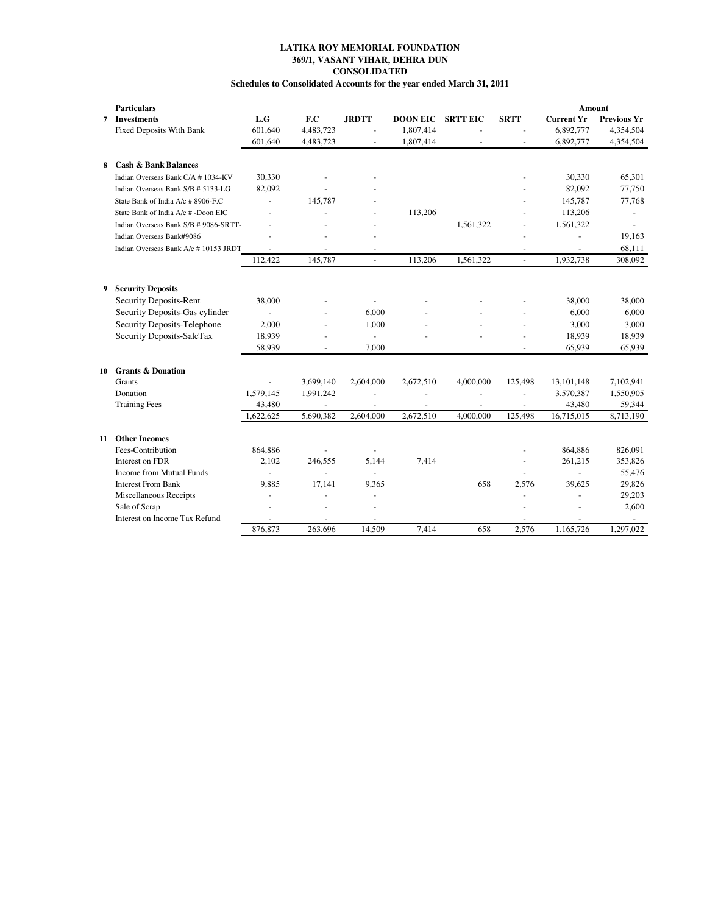# **369/1, VASANT VIHAR, DEHRA DUN CONSOLIDATED Schedules to Consolidated Accounts for the year ended March 31, 2011 LATIKA ROY MEMORIAL FOUNDATION**

|    | <b>Particulars</b>                    |                |                |                          |                          |                          |                |                   | Amount             |
|----|---------------------------------------|----------------|----------------|--------------------------|--------------------------|--------------------------|----------------|-------------------|--------------------|
| 7  | <b>Investments</b>                    | L.G            | F.C            | <b>JRDTT</b>             | <b>DOON EIC</b>          | <b>SRTT EIC</b>          | <b>SRTT</b>    | <b>Current Yr</b> | <b>Previous Yr</b> |
|    | <b>Fixed Deposits With Bank</b>       | 601,640        | 4,483,723      |                          | 1,807,414                |                          |                | 6,892,777         | 4,354,504          |
|    |                                       | 601,640        | 4,483,723      |                          | 1,807,414                |                          |                | 6,892,777         | 4,354,504          |
| 8  | <b>Cash &amp; Bank Balances</b>       |                |                |                          |                          |                          |                |                   |                    |
|    | Indian Overseas Bank C/A # 1034-KV    | 30,330         |                |                          |                          |                          |                | 30,330            | 65,301             |
|    | Indian Overseas Bank S/B # 5133-LG    | 82,092         |                |                          |                          |                          |                | 82,092            | 77,750             |
|    | State Bank of India A/c # 8906-F.C    | L.             | 145,787        |                          |                          |                          |                | 145,787           | 77,768             |
|    | State Bank of India A/c #-Doon EIC    | L.             |                | $\overline{a}$           | 113,206                  |                          |                | 113,206           |                    |
|    | Indian Overseas Bank S/B # 9086-SRTT- |                |                | $\overline{a}$           |                          | 1,561,322                |                | 1,561,322         | $\blacksquare$     |
|    | Indian Overseas Bank#9086             |                |                | $\overline{\phantom{a}}$ |                          |                          |                |                   | 19,163             |
|    | Indian Overseas Bank A/c #10153 JRDT  |                |                |                          |                          |                          |                | ÷,                | 68,111             |
|    |                                       | 112.422        | 145,787        | $\overline{a}$           | 113,206                  | 1,561,322                | $\blacksquare$ | 1,932,738         | 308,092            |
|    |                                       |                |                |                          |                          |                          |                |                   |                    |
| 9  | <b>Security Deposits</b>              |                |                |                          |                          |                          |                |                   |                    |
|    | Security Deposits-Rent                | 38,000         |                | $\sim$                   |                          |                          |                | 38,000            | 38,000             |
|    | Security Deposits-Gas cylinder        | $\overline{a}$ |                | 6.000                    |                          |                          |                | 6,000             | 6,000              |
|    | Security Deposits-Telephone           | 2,000          |                | 1,000                    |                          |                          | L.             | 3,000             | 3,000              |
|    | Security Deposits-SaleTax             | 18,939         |                | $\omega$                 |                          |                          |                | 18,939            | 18,939             |
|    |                                       | 58,939         |                | 7.000                    |                          |                          |                | 65,939            | 65,939             |
| 10 | <b>Grants &amp; Donation</b>          |                |                |                          |                          |                          |                |                   |                    |
|    | <b>Grants</b>                         | $\blacksquare$ | 3,699,140      | 2,604,000                | 2,672,510                | 4,000,000                | 125,498        | 13,101,148        | 7,102,941          |
|    | Donation                              | 1,579,145      | 1,991,242      |                          |                          |                          |                | 3,570,387         | 1,550,905          |
|    | <b>Training Fees</b>                  | 43,480         | $\blacksquare$ | $\overline{\phantom{a}}$ | $\overline{\phantom{a}}$ | $\overline{\phantom{a}}$ | $\blacksquare$ | 43,480            | 59,344             |
|    |                                       | 1,622,625      | 5,690,382      | 2,604,000                | 2,672,510                | 4,000,000                | 125,498        | 16,715,015        | 8,713,190          |
| 11 | <b>Other Incomes</b>                  |                |                |                          |                          |                          |                |                   |                    |
|    | Fees-Contribution                     | 864,886        |                | $\blacksquare$           |                          |                          |                | 864,886           | 826,091            |
|    | Interest on FDR                       | 2,102          | 246,555        | 5,144                    | 7,414                    |                          |                | 261,215           | 353,826            |
|    | Income from Mutual Funds              | L.             |                | $\omega$                 |                          |                          |                |                   | 55,476             |
|    | <b>Interest From Bank</b>             | 9,885          | 17,141         | 9,365                    |                          | 658                      | 2,576          | 39,625            | 29,826             |
|    | Miscellaneous Receipts                |                |                |                          |                          |                          |                |                   | 29,203             |
|    | Sale of Scrap                         |                |                |                          |                          |                          |                |                   | 2,600              |
|    | Interest on Income Tax Refund         |                |                |                          |                          |                          |                |                   |                    |
|    |                                       | 876,873        | 263,696        | 14.509                   | 7.414                    | 658                      | 2.576          | 1.165.726         | 1.297.022          |